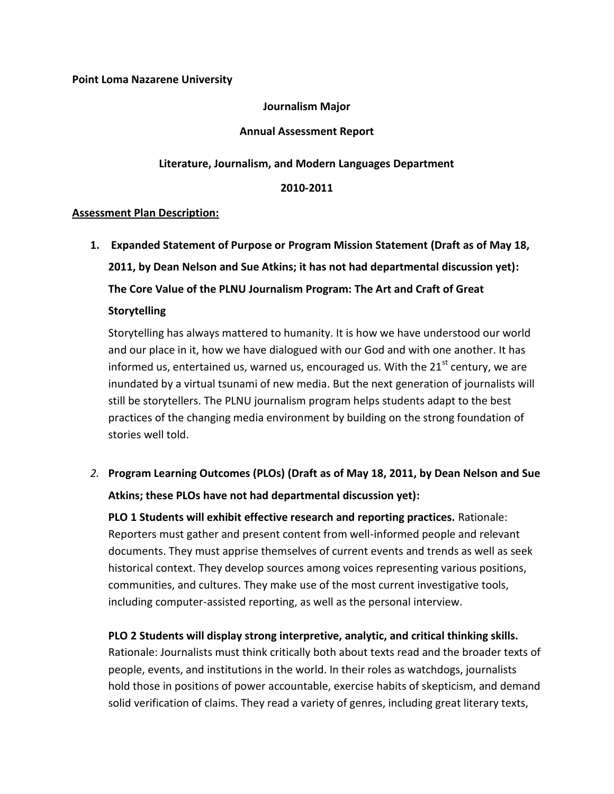## **Point Loma Nazarene University**

## **Journalism Major**

#### **Annual Assessment Report**

## **Literature, Journalism, and Modern Languages Department**

#### **2010-2011**

#### **Assessment Plan Description:**

**1. Expanded Statement of Purpose or Program Mission Statement (Draft as of May 18, 2011, by Dean Nelson and Sue Atkins; it has not had departmental discussion yet): The Core Value of the PLNU Journalism Program: The Art and Craft of Great** 

## **Storytelling**

Storytelling has always mattered to humanity. It is how we have understood our world and our place in it, how we have dialogued with our God and with one another. It has informed us, entertained us, warned us, encouraged us. With the  $21<sup>st</sup>$  century, we are inundated by a virtual tsunami of new media. But the next generation of journalists will still be storytellers. The PLNU journalism program helps students adapt to the best practices of the changing media environment by building on the strong foundation of stories well told.

*2.* **Program Learning Outcomes (PLOs) (Draft as of May 18, 2011, by Dean Nelson and Sue Atkins; these PLOs have not had departmental discussion yet):** 

**PLO 1 Students will exhibit effective research and reporting practices.** Rationale: Reporters must gather and present content from well-informed people and relevant documents. They must apprise themselves of current events and trends as well as seek historical context. They develop sources among voices representing various positions, communities, and cultures. They make use of the most current investigative tools, including computer-assisted reporting, as well as the personal interview.

## **PLO 2 Students will display strong interpretive, analytic, and critical thinking skills.**

Rationale: Journalists must think critically both about texts read and the broader texts of people, events, and institutions in the world. In their roles as watchdogs, journalists hold those in positions of power accountable, exercise habits of skepticism, and demand solid verification of claims. They read a variety of genres, including great literary texts,